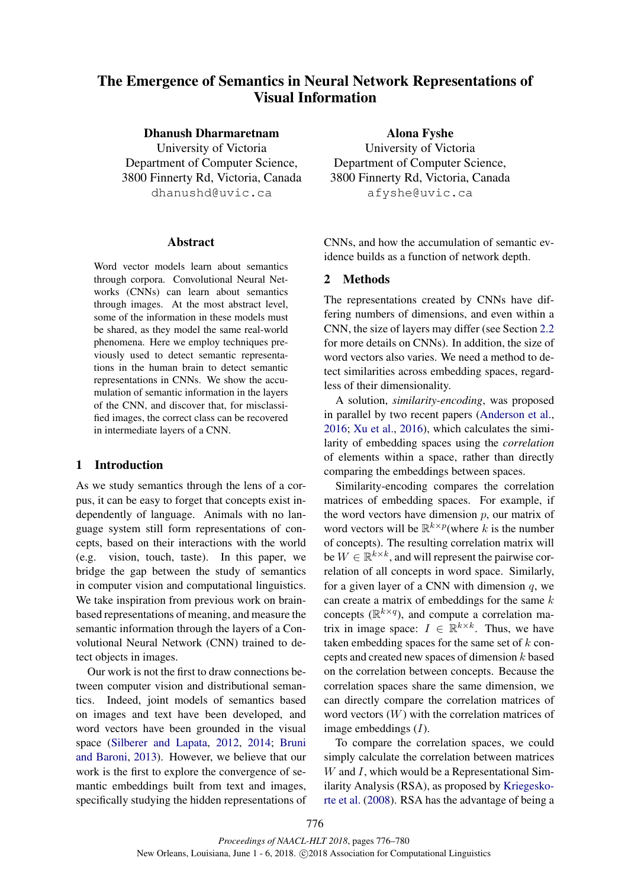# The Emergence of Semantics in Neural Network Representations of Visual Information

Dhanush Dharmaretnam University of Victoria Department of Computer Science, 3800 Finnerty Rd, Victoria, Canada dhanushd@uvic.ca

#### Abstract

Word vector models learn about semantics through corpora. Convolutional Neural Networks (CNNs) can learn about semantics through images. At the most abstract level, some of the information in these models must be shared, as they model the same real-world phenomena. Here we employ techniques previously used to detect semantic representations in the human brain to detect semantic representations in CNNs. We show the accumulation of semantic information in the layers of the CNN, and discover that, for misclassified images, the correct class can be recovered in intermediate layers of a CNN.

# 1 Introduction

As we study semantics through the lens of a corpus, it can be easy to forget that concepts exist independently of language. Animals with no language system still form representations of concepts, based on their interactions with the world (e.g. vision, touch, taste). In this paper, we bridge the gap between the study of semantics in computer vision and computational linguistics. We take inspiration from previous work on brainbased representations of meaning, and measure the semantic information through the layers of a Convolutional Neural Network (CNN) trained to detect objects in images.

Our work is not the first to draw connections between computer vision and distributional semantics. Indeed, joint models of semantics based on images and text have been developed, and word vectors have been grounded in the visual space (Silberer and Lapata, 2012, 2014; Bruni and Baroni, 2013). However, we believe that our work is the first to explore the convergence of semantic embeddings built from text and images, specifically studying the hidden representations of

Alona Fyshe University of Victoria Department of Computer Science, 3800 Finnerty Rd, Victoria, Canada afyshe@uvic.ca

CNNs, and how the accumulation of semantic evidence builds as a function of network depth.

#### 2 Methods

The representations created by CNNs have differing numbers of dimensions, and even within a CNN, the size of layers may differ (see Section 2.2 for more details on CNNs). In addition, the size of word vectors also varies. We need a method to detect similarities across embedding spaces, regardless of their dimensionality.

A solution, *similarity-encoding*, was proposed in parallel by two recent papers (Anderson et al., 2016; Xu et al., 2016), which calculates the similarity of embedding spaces using the *correlation* of elements within a space, rather than directly comparing the embeddings between spaces.

Similarity-encoding compares the correlation matrices of embedding spaces. For example, if the word vectors have dimension  $p$ , our matrix of word vectors will be  $\mathbb{R}^{k \times p}$  (where k is the number of concepts). The resulting correlation matrix will be  $W \in \mathbb{R}^{k \times k}$ , and will represent the pairwise correlation of all concepts in word space. Similarly, for a given layer of a CNN with dimension  $q$ , we can create a matrix of embeddings for the same  $k$ concepts  $(\mathbb{R}^{k \times q})$ , and compute a correlation matrix in image space:  $I \in \mathbb{R}^{k \times k}$ . Thus, we have taken embedding spaces for the same set of  $k$  concepts and created new spaces of dimension  $k$  based on the correlation between concepts. Because the correlation spaces share the same dimension, we can directly compare the correlation matrices of word vectors  $(W)$  with the correlation matrices of image embeddings  $(I)$ .

To compare the correlation spaces, we could simply calculate the correlation between matrices  $W$  and  $I$ , which would be a Representational Similarity Analysis (RSA), as proposed by Kriegeskorte et al. (2008). RSA has the advantage of being a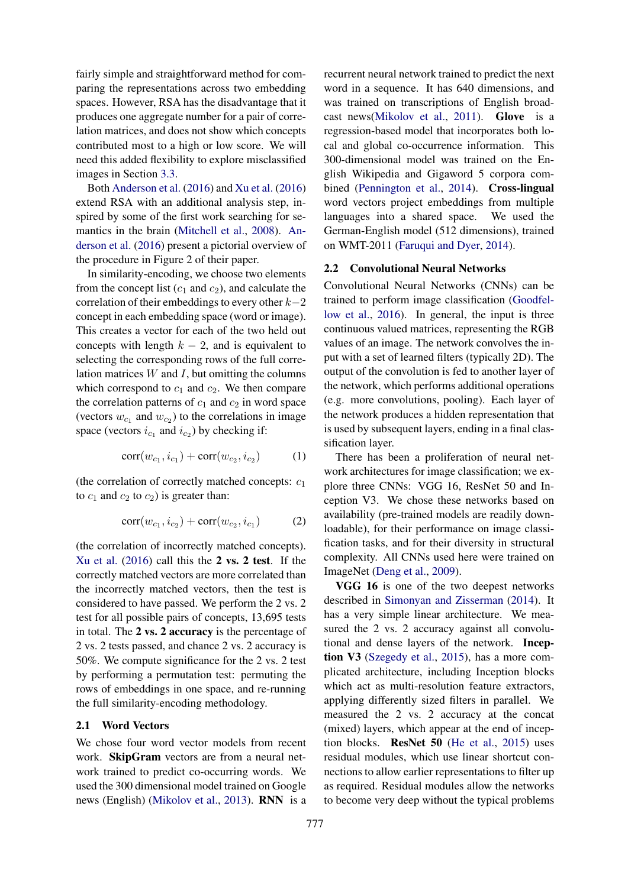fairly simple and straightforward method for comparing the representations across two embedding spaces. However, RSA has the disadvantage that it produces one aggregate number for a pair of correlation matrices, and does not show which concepts contributed most to a high or low score. We will need this added flexibility to explore misclassified images in Section 3.3.

Both Anderson et al. (2016) and Xu et al. (2016) extend RSA with an additional analysis step, inspired by some of the first work searching for semantics in the brain (Mitchell et al., 2008). Anderson et al. (2016) present a pictorial overview of the procedure in Figure 2 of their paper.

In similarity-encoding, we choose two elements from the concept list  $(c_1 \text{ and } c_2)$ , and calculate the correlation of their embeddings to every other  $k-2$ concept in each embedding space (word or image). This creates a vector for each of the two held out concepts with length  $k - 2$ , and is equivalent to selecting the corresponding rows of the full correlation matrices  $W$  and  $I$ , but omitting the columns which correspond to  $c_1$  and  $c_2$ . We then compare the correlation patterns of  $c_1$  and  $c_2$  in word space (vectors  $w_{c_1}$  and  $w_{c_2}$ ) to the correlations in image space (vectors  $i_{c_1}$  and  $i_{c_2}$ ) by checking if:

$$
corr(w_{c_1}, i_{c_1}) + corr(w_{c_2}, i_{c_2}) \tag{1}
$$

(the correlation of correctly matched concepts:  $c_1$ to  $c_1$  and  $c_2$  to  $c_2$ ) is greater than:

$$
corr(w_{c_1}, i_{c_2}) + corr(w_{c_2}, i_{c_1}) \tag{2}
$$

(the correlation of incorrectly matched concepts). Xu et al. (2016) call this the 2 vs. 2 test. If the correctly matched vectors are more correlated than the incorrectly matched vectors, then the test is considered to have passed. We perform the 2 vs. 2 test for all possible pairs of concepts, 13,695 tests in total. The 2 vs. 2 accuracy is the percentage of 2 vs. 2 tests passed, and chance 2 vs. 2 accuracy is 50%. We compute significance for the 2 vs. 2 test by performing a permutation test: permuting the rows of embeddings in one space, and re-running the full similarity-encoding methodology.

### 2.1 Word Vectors

We chose four word vector models from recent work. SkipGram vectors are from a neural network trained to predict co-occurring words. We used the 300 dimensional model trained on Google news (English) (Mikolov et al., 2013). RNN is a

recurrent neural network trained to predict the next word in a sequence. It has 640 dimensions, and was trained on transcriptions of English broadcast news(Mikolov et al., 2011). Glove is a regression-based model that incorporates both local and global co-occurrence information. This 300-dimensional model was trained on the English Wikipedia and Gigaword 5 corpora combined (Pennington et al., 2014). Cross-lingual word vectors project embeddings from multiple languages into a shared space. We used the German-English model (512 dimensions), trained on WMT-2011 (Faruqui and Dyer, 2014).

#### 2.2 Convolutional Neural Networks

Convolutional Neural Networks (CNNs) can be trained to perform image classification (Goodfellow et al., 2016). In general, the input is three continuous valued matrices, representing the RGB values of an image. The network convolves the input with a set of learned filters (typically 2D). The output of the convolution is fed to another layer of the network, which performs additional operations (e.g. more convolutions, pooling). Each layer of the network produces a hidden representation that is used by subsequent layers, ending in a final classification layer.

There has been a proliferation of neural network architectures for image classification; we explore three CNNs: VGG 16, ResNet 50 and Inception V3. We chose these networks based on availability (pre-trained models are readily downloadable), for their performance on image classification tasks, and for their diversity in structural complexity. All CNNs used here were trained on ImageNet (Deng et al., 2009).

VGG 16 is one of the two deepest networks described in Simonyan and Zisserman (2014). It has a very simple linear architecture. We measured the 2 vs. 2 accuracy against all convolutional and dense layers of the network. Inception V3 (Szegedy et al., 2015), has a more complicated architecture, including Inception blocks which act as multi-resolution feature extractors, applying differently sized filters in parallel. We measured the 2 vs. 2 accuracy at the concat (mixed) layers, which appear at the end of inception blocks. ResNet 50 (He et al., 2015) uses residual modules, which use linear shortcut connections to allow earlier representations to filter up as required. Residual modules allow the networks to become very deep without the typical problems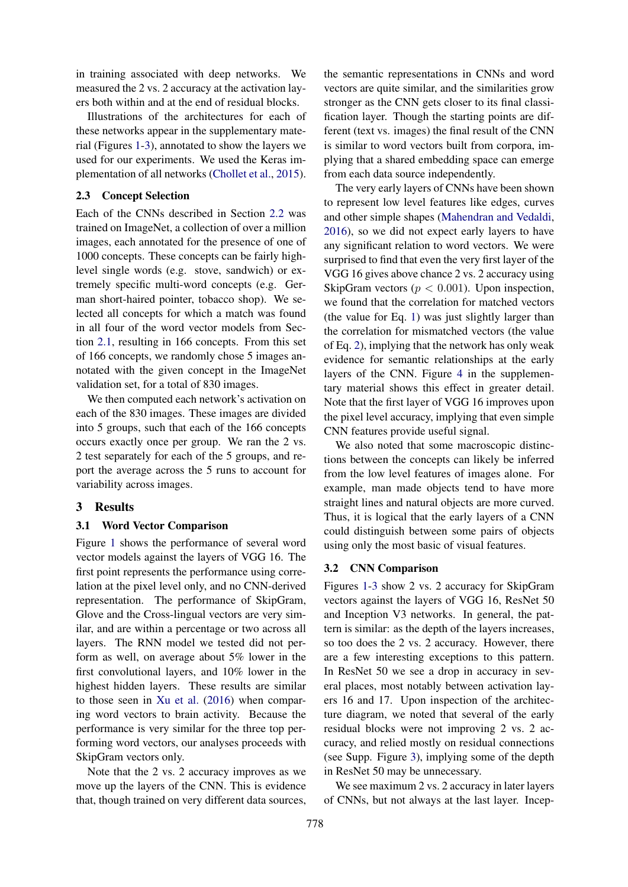in training associated with deep networks. We measured the 2 vs. 2 accuracy at the activation layers both within and at the end of residual blocks.

Illustrations of the architectures for each of these networks appear in the supplementary material (Figures 1-3), annotated to show the layers we used for our experiments. We used the Keras implementation of all networks (Chollet et al., 2015).

# 2.3 Concept Selection

Each of the CNNs described in Section 2.2 was trained on ImageNet, a collection of over a million images, each annotated for the presence of one of 1000 concepts. These concepts can be fairly highlevel single words (e.g. stove, sandwich) or extremely specific multi-word concepts (e.g. German short-haired pointer, tobacco shop). We selected all concepts for which a match was found in all four of the word vector models from Section 2.1, resulting in 166 concepts. From this set of 166 concepts, we randomly chose 5 images annotated with the given concept in the ImageNet validation set, for a total of 830 images.

We then computed each network's activation on each of the 830 images. These images are divided into 5 groups, such that each of the 166 concepts occurs exactly once per group. We ran the 2 vs. 2 test separately for each of the 5 groups, and report the average across the 5 runs to account for variability across images.

# 3 Results

#### 3.1 Word Vector Comparison

Figure 1 shows the performance of several word vector models against the layers of VGG 16. The first point represents the performance using correlation at the pixel level only, and no CNN-derived representation. The performance of SkipGram, Glove and the Cross-lingual vectors are very similar, and are within a percentage or two across all layers. The RNN model we tested did not perform as well, on average about 5% lower in the first convolutional layers, and 10% lower in the highest hidden layers. These results are similar to those seen in Xu et al. (2016) when comparing word vectors to brain activity. Because the performance is very similar for the three top performing word vectors, our analyses proceeds with SkipGram vectors only.

Note that the 2 vs. 2 accuracy improves as we move up the layers of the CNN. This is evidence that, though trained on very different data sources,

the semantic representations in CNNs and word vectors are quite similar, and the similarities grow stronger as the CNN gets closer to its final classification layer. Though the starting points are different (text vs. images) the final result of the CNN is similar to word vectors built from corpora, implying that a shared embedding space can emerge from each data source independently.

The very early layers of CNNs have been shown to represent low level features like edges, curves and other simple shapes (Mahendran and Vedaldi, 2016), so we did not expect early layers to have any significant relation to word vectors. We were surprised to find that even the very first layer of the VGG 16 gives above chance 2 vs. 2 accuracy using SkipGram vectors ( $p < 0.001$ ). Upon inspection, we found that the correlation for matched vectors (the value for Eq. 1) was just slightly larger than the correlation for mismatched vectors (the value of Eq. 2), implying that the network has only weak evidence for semantic relationships at the early layers of the CNN. Figure 4 in the supplementary material shows this effect in greater detail. Note that the first layer of VGG 16 improves upon the pixel level accuracy, implying that even simple CNN features provide useful signal.

We also noted that some macroscopic distinctions between the concepts can likely be inferred from the low level features of images alone. For example, man made objects tend to have more straight lines and natural objects are more curved. Thus, it is logical that the early layers of a CNN could distinguish between some pairs of objects using only the most basic of visual features.

#### 3.2 CNN Comparison

Figures 1-3 show 2 vs. 2 accuracy for SkipGram vectors against the layers of VGG 16, ResNet 50 and Inception V3 networks. In general, the pattern is similar: as the depth of the layers increases, so too does the 2 vs. 2 accuracy. However, there are a few interesting exceptions to this pattern. In ResNet 50 we see a drop in accuracy in several places, most notably between activation layers 16 and 17. Upon inspection of the architecture diagram, we noted that several of the early residual blocks were not improving 2 vs. 2 accuracy, and relied mostly on residual connections (see Supp. Figure 3), implying some of the depth in ResNet 50 may be unnecessary.

We see maximum 2 vs. 2 accuracy in later layers of CNNs, but not always at the last layer. Incep-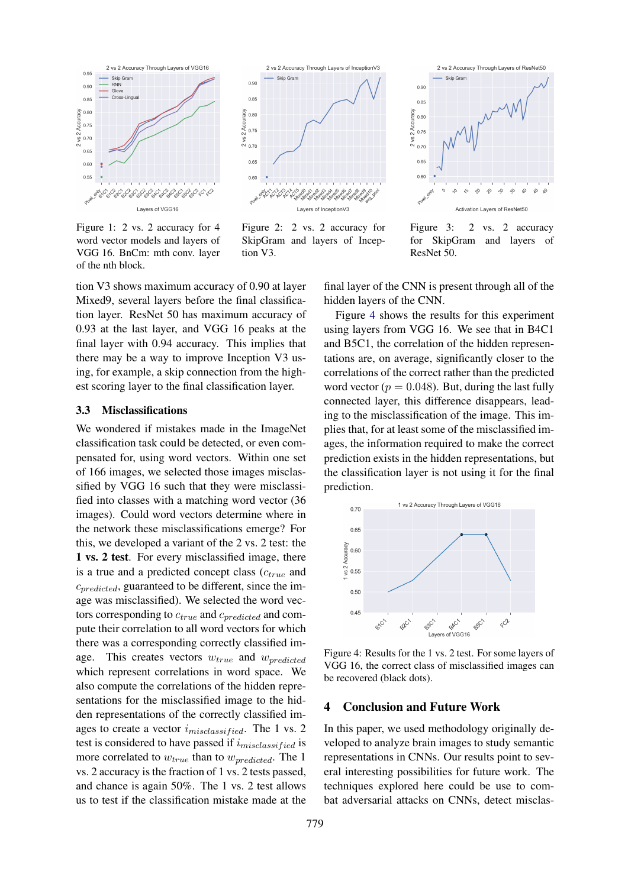

Figure 1: 2 vs. 2 accuracy for 4 word vector models and layers of VGG 16. BnCm: mth conv. layer of the nth block.



Figure 2: 2 vs. 2 accuracy for SkipGram and layers of Inception V3.



Figure 3: 2 vs. 2 accuracy for SkipGram and layers of ResNet 50.

tion V3 shows maximum accuracy of 0.90 at layer Mixed9, several layers before the final classification layer. ResNet 50 has maximum accuracy of 0.93 at the last layer, and VGG 16 peaks at the final layer with 0.94 accuracy. This implies that there may be a way to improve Inception V3 using, for example, a skip connection from the highest scoring layer to the final classification layer.

# 3.3 Misclassifications

We wondered if mistakes made in the ImageNet classification task could be detected, or even compensated for, using word vectors. Within one set of 166 images, we selected those images misclassified by VGG 16 such that they were misclassified into classes with a matching word vector (36 images). Could word vectors determine where in the network these misclassifications emerge? For this, we developed a variant of the 2 vs. 2 test: the 1 vs. 2 test. For every misclassified image, there is a true and a predicted concept class  $(c_{true}$  and  $c_{predicted}$ , guaranteed to be different, since the image was misclassified). We selected the word vectors corresponding to  $c_{true}$  and  $c_{predicted}$  and compute their correlation to all word vectors for which there was a corresponding correctly classified image. This creates vectors  $w_{true}$  and  $w_{predicted}$ which represent correlations in word space. We also compute the correlations of the hidden representations for the misclassified image to the hidden representations of the correctly classified images to create a vector  $i_{misclassified}$ . The 1 vs. 2 test is considered to have passed if  $i_{misclassified}$  is more correlated to  $w_{true}$  than to  $w_{predicted}$ . The 1 vs. 2 accuracy is the fraction of 1 vs. 2 tests passed, and chance is again 50%. The 1 vs. 2 test allows us to test if the classification mistake made at the

final layer of the CNN is present through all of the hidden layers of the CNN.

Figure 4 shows the results for this experiment using layers from VGG 16. We see that in B4C1 and B5C1, the correlation of the hidden representations are, on average, significantly closer to the correlations of the correct rather than the predicted word vector ( $p = 0.048$ ). But, during the last fully connected layer, this difference disappears, leading to the misclassification of the image. This implies that, for at least some of the misclassified images, the information required to make the correct prediction exists in the hidden representations, but the classification layer is not using it for the final prediction.



Figure 4: Results for the 1 vs. 2 test. For some layers of VGG 16, the correct class of misclassified images can be recovered (black dots).

#### 4 Conclusion and Future Work

In this paper, we used methodology originally developed to analyze brain images to study semantic representations in CNNs. Our results point to several interesting possibilities for future work. The techniques explored here could be use to combat adversarial attacks on CNNs, detect misclas